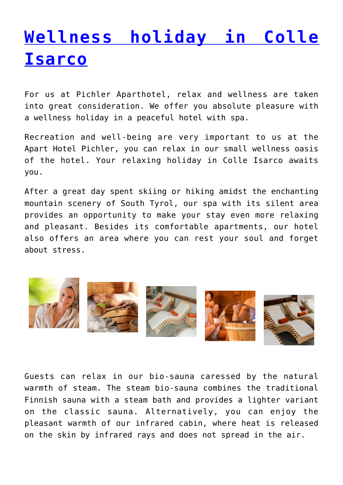## **[Wellness holiday in Colle](http://www.aparthotel-pichler.com/en/wellness-holiday/) [Isarco](http://www.aparthotel-pichler.com/en/wellness-holiday/)**

For us at Pichler Aparthotel, relax and wellness are taken into great consideration. We offer you absolute pleasure with a wellness holiday in a peaceful hotel with spa.

Recreation and well-being are very important to us at the Apart Hotel Pichler, you can relax in our small wellness oasis of the hotel. Your relaxing holiday in Colle Isarco awaits you.

After a great day spent skiing or hiking amidst the enchanting mountain scenery of South Tyrol, our spa with its silent area provides an opportunity to make your stay even more relaxing and pleasant. Besides its comfortable apartments, our hotel also offers an area where you can rest your soul and forget about stress.



Guests can relax in our bio-sauna caressed by the natural warmth of steam. The steam bio-sauna combines the traditional Finnish sauna with a steam bath and provides a lighter variant on the classic sauna. Alternatively, you can enjoy the pleasant warmth of our infrared cabin, where heat is released on the skin by infrared rays and does not spread in the air.